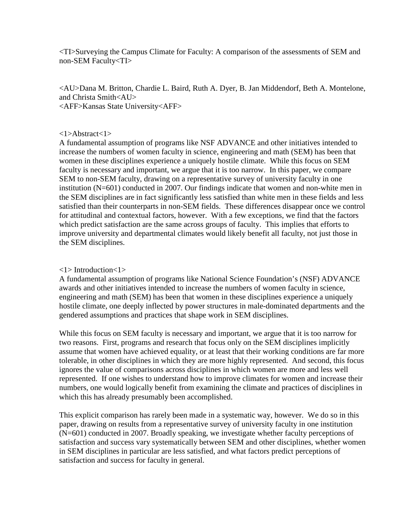<TI>Surveying the Campus Climate for Faculty: A comparison of the assessments of SEM and non-SEM Faculty<TI>

<AU>Dana M. Britton, Chardie L. Baird, Ruth A. Dyer, B. Jan Middendorf, Beth A. Montelone, and Christa Smith<AU> <AFF>Kansas State University<AFF>

#### <1>Abstract<1>

A fundamental assumption of programs like NSF ADVANCE and other initiatives intended to increase the numbers of women faculty in science, engineering and math (SEM) has been that women in these disciplines experience a uniquely hostile climate. While this focus on SEM faculty is necessary and important, we argue that it is too narrow. In this paper, we compare SEM to non-SEM faculty, drawing on a representative survey of university faculty in one institution (N=601) conducted in 2007. Our findings indicate that women and non-white men in the SEM disciplines are in fact significantly less satisfied than white men in these fields and less satisfied than their counterparts in non-SEM fields. These differences disappear once we control for attitudinal and contextual factors, however. With a few exceptions, we find that the factors which predict satisfaction are the same across groups of faculty. This implies that efforts to improve university and departmental climates would likely benefit all faculty, not just those in the SEM disciplines.

## <1> Introduction<1>

A fundamental assumption of programs like National Science Foundation's (NSF) ADVANCE awards and other initiatives intended to increase the numbers of women faculty in science, engineering and math (SEM) has been that women in these disciplines experience a uniquely hostile climate, one deeply inflected by power structures in male-dominated departments and the gendered assumptions and practices that shape work in SEM disciplines.

While this focus on SEM faculty is necessary and important, we argue that it is too narrow for two reasons. First, programs and research that focus only on the SEM disciplines implicitly assume that women have achieved equality, or at least that their working conditions are far more tolerable, in other disciplines in which they are more highly represented. And second, this focus ignores the value of comparisons across disciplines in which women are more and less well represented. If one wishes to understand how to improve climates for women and increase their numbers, one would logically benefit from examining the climate and practices of disciplines in which this has already presumably been accomplished.

This explicit comparison has rarely been made in a systematic way, however. We do so in this paper, drawing on results from a representative survey of university faculty in one institution (N=601) conducted in 2007. Broadly speaking, we investigate whether faculty perceptions of satisfaction and success vary systematically between SEM and other disciplines, whether women in SEM disciplines in particular are less satisfied, and what factors predict perceptions of satisfaction and success for faculty in general.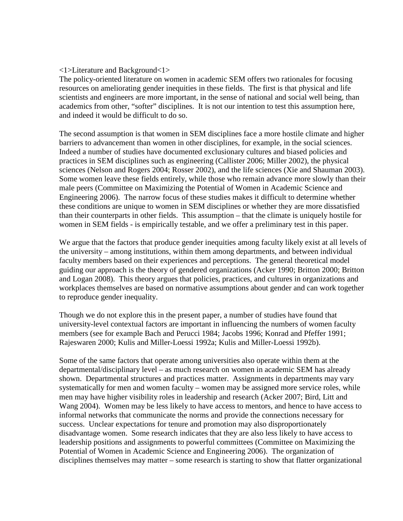#### <1>Literature and Background<1>

The policy-oriented literature on women in academic SEM offers two rationales for focusing resources on ameliorating gender inequities in these fields. The first is that physical and life scientists and engineers are more important, in the sense of national and social well being, than academics from other, "softer" disciplines. It is not our intention to test this assumption here, and indeed it would be difficult to do so.

The second assumption is that women in SEM disciplines face a more hostile climate and higher barriers to advancement than women in other disciplines, for example, in the social sciences. Indeed a number of studies have documented exclusionary cultures and biased policies and practices in SEM disciplines such as engineering (Callister 2006; Miller 2002), the physical sciences (Nelson and Rogers 2004; Rosser 2002), and the life sciences (Xie and Shauman 2003). Some women leave these fields entirely, while those who remain advance more slowly than their male peers (Committee on Maximizing the Potential of Women in Academic Science and Engineering 2006). The narrow focus of these studies makes it difficult to determine whether these conditions are unique to women in SEM disciplines or whether they are more dissatisfied than their counterparts in other fields. This assumption – that the climate is uniquely hostile for women in SEM fields - is empirically testable, and we offer a preliminary test in this paper.

We argue that the factors that produce gender inequities among faculty likely exist at all levels of the university – among institutions, within them among departments, and between individual faculty members based on their experiences and perceptions. The general theoretical model guiding our approach is the theory of gendered organizations (Acker 1990; Britton 2000; Britton and Logan 2008). This theory argues that policies, practices, and cultures in organizations and workplaces themselves are based on normative assumptions about gender and can work together to reproduce gender inequality.

Though we do not explore this in the present paper, a number of studies have found that university-level contextual factors are important in influencing the numbers of women faculty members (see for example Bach and Perucci 1984; Jacobs 1996; Konrad and Pfeffer 1991; Rajeswaren 2000; Kulis and Miller-Loessi 1992a; Kulis and Miller-Loessi 1992b).

Some of the same factors that operate among universities also operate within them at the departmental/disciplinary level – as much research on women in academic SEM has already shown. Departmental structures and practices matter. Assignments in departments may vary systematically for men and women faculty – women may be assigned more service roles, while men may have higher visibility roles in leadership and research (Acker 2007; Bird, Litt and Wang 2004). Women may be less likely to have access to mentors, and hence to have access to informal networks that communicate the norms and provide the connections necessary for success. Unclear expectations for tenure and promotion may also disproportionately disadvantage women. Some research indicates that they are also less likely to have access to leadership positions and assignments to powerful committees (Committee on Maximizing the Potential of Women in Academic Science and Engineering 2006). The organization of disciplines themselves may matter – some research is starting to show that flatter organizational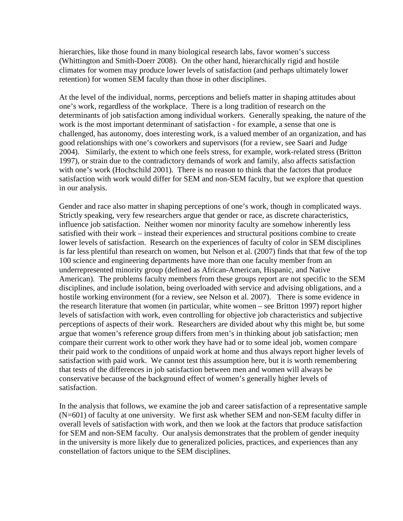hierarchies, like those found in many biological research labs, favor women's success (Whittington and Smith-Doerr 2008). On the other hand, hierarchically rigid and hostile climates for women may produce lower levels of satisfaction (and perhaps ultimately lower retention) for women SEM faculty than those in other disciplines.

At the level of the individual, norms, perceptions and beliefs matter in shaping attitudes about one's work, regardless of the workplace. There is a long tradition of research on the determinants of job satisfaction among individual workers. Generally speaking, the nature of the work is the most important determinant of satisfaction - for example, a sense that one is challenged, has autonomy, does interesting work, is a valued member of an organization, and has good relationships with one's coworkers and supervisors (for a review, see Saari and Judge 2004). Similarly, the extent to which one feels stress, for example, work-related stress (Britton 1997), or strain due to the contradictory demands of work and family, also affects satisfaction with one's work (Hochschild 2001). There is no reason to think that the factors that produce satisfaction with work would differ for SEM and non-SEM faculty, but we explore that question in our analysis.

Gender and race also matter in shaping perceptions of one's work, though in complicated ways. Strictly speaking, very few researchers argue that gender or race, as discrete characteristics, influence job satisfaction. Neither women nor minority faculty are somehow inherently less satisfied with their work – instead their experiences and structural positions combine to create lower levels of satisfaction. Research on the experiences of faculty of color in SEM disciplines is far less plentiful than research on women, but Nelson et al. (2007) finds that that few of the top 100 science and engineering departments have more than one faculty member from an underrepresented minority group (defined as African-American, Hispanic, and Native American). The problems faculty members from these groups report are not specific to the SEM disciplines, and include isolation, being overloaded with service and advising obligations, and a hostile working environment (for a review, see Nelson et al. 2007). There is some evidence in the research literature that women (in particular, white women – see Britton 1997) report higher levels of satisfaction with work, even controlling for objective job characteristics and subjective perceptions of aspects of their work. Researchers are divided about why this might be, but some argue that women's reference group differs from men's in thinking about job satisfaction; men compare their current work to other work they have had or to some ideal job, women compare their paid work to the conditions of unpaid work at home and thus always report higher levels of satisfaction with paid work. We cannot test this assumption here, but it is worth remembering that tests of the differences in job satisfaction between men and women will always be conservative because of the background effect of women's generally higher levels of satisfaction.

In the analysis that follows, we examine the job and career satisfaction of a representative sample (N=601) of faculty at one university. We first ask whether SEM and non-SEM faculty differ in overall levels of satisfaction with work, and then we look at the factors that produce satisfaction for SEM and non-SEM faculty. Our analysis demonstrates that the problem of gender inequity in the university is more likely due to generalized policies, practices, and experiences than any constellation of factors unique to the SEM disciplines.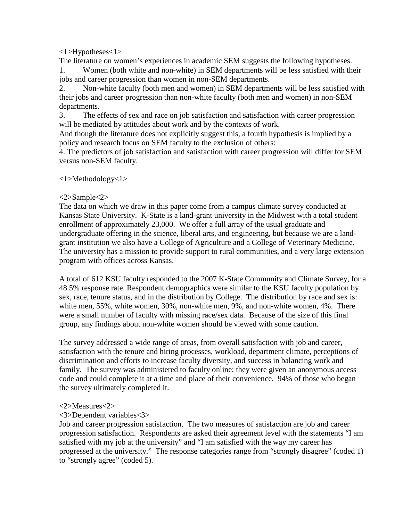<1>Hypotheses<1>

The literature on women's experiences in academic SEM suggests the following hypotheses.

1. Women (both white and non-white) in SEM departments will be less satisfied with their jobs and career progression than women in non-SEM departments.

2. Non-white faculty (both men and women) in SEM departments will be less satisfied with their jobs and career progression than non-white faculty (both men and women) in non-SEM departments.

3. The effects of sex and race on job satisfaction and satisfaction with career progression will be mediated by attitudes about work and by the contexts of work.

And though the literature does not explicitly suggest this, a fourth hypothesis is implied by a policy and research focus on SEM faculty to the exclusion of others:

4. The predictors of job satisfaction and satisfaction with career progression will differ for SEM versus non-SEM faculty.

# <1>Methodology<1>

# $<2$ >Sample $<2$ >

The data on which we draw in this paper come from a campus climate survey conducted at Kansas State University. K-State is a land-grant university in the Midwest with a total student enrollment of approximately 23,000. We offer a full array of the usual graduate and undergraduate offering in the science, liberal arts, and engineering, but because we are a landgrant institution we also have a College of Agriculture and a College of Veterinary Medicine. The university has a mission to provide support to rural communities, and a very large extension program with offices across Kansas.

A total of 612 KSU faculty responded to the 2007 K-State Community and Climate Survey, for a 48.5% response rate. Respondent demographics were similar to the KSU faculty population by sex, race, tenure status, and in the distribution by College. The distribution by race and sex is: white men, 55%, white women, 30%, non-white men, 9%, and non-white women, 4%. There were a small number of faculty with missing race/sex data. Because of the size of this final group, any findings about non-white women should be viewed with some caution.

The survey addressed a wide range of areas, from overall satisfaction with job and career, satisfaction with the tenure and hiring processes, workload, department climate, perceptions of discrimination and efforts to increase faculty diversity, and success in balancing work and family. The survey was administered to faculty online; they were given an anonymous access code and could complete it at a time and place of their convenience. 94% of those who began the survey ultimately completed it.

# <2>Measures<2>

# <3>Dependent variables<3>

Job and career progression satisfaction. The two measures of satisfaction are job and career progression satisfaction. Respondents are asked their agreement level with the statements "I am satisfied with my job at the university" and "I am satisfied with the way my career has progressed at the university." The response categories range from "strongly disagree" (coded 1) to "strongly agree" (coded 5).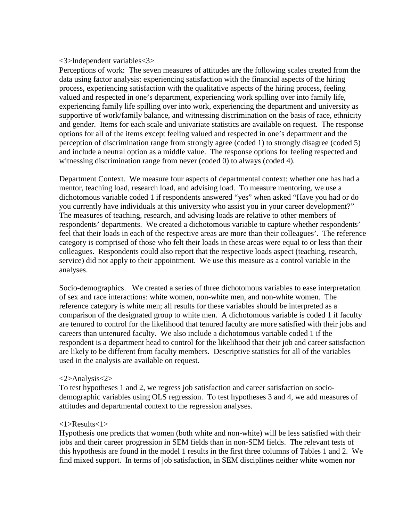#### <3>Independent variables<3>

Perceptions of work: The seven measures of attitudes are the following scales created from the data using factor analysis: experiencing satisfaction with the financial aspects of the hiring process, experiencing satisfaction with the qualitative aspects of the hiring process, feeling valued and respected in one's department, experiencing work spilling over into family life, experiencing family life spilling over into work, experiencing the department and university as supportive of work/family balance, and witnessing discrimination on the basis of race, ethnicity and gender. Items for each scale and univariate statistics are available on request. The response options for all of the items except feeling valued and respected in one's department and the perception of discrimination range from strongly agree (coded 1) to strongly disagree (coded 5) and include a neutral option as a middle value. The response options for feeling respected and witnessing discrimination range from never (coded 0) to always (coded 4).

Department Context. We measure four aspects of departmental context: whether one has had a mentor, teaching load, research load, and advising load. To measure mentoring, we use a dichotomous variable coded 1 if respondents answered "yes" when asked "Have you had or do you currently have individuals at this university who assist you in your career development?" The measures of teaching, research, and advising loads are relative to other members of respondents' departments. We created a dichotomous variable to capture whether respondents' feel that their loads in each of the respective areas are more than their colleagues'. The reference category is comprised of those who felt their loads in these areas were equal to or less than their colleagues. Respondents could also report that the respective loads aspect (teaching, research, service) did not apply to their appointment. We use this measure as a control variable in the analyses.

Socio-demographics. We created a series of three dichotomous variables to ease interpretation of sex and race interactions: white women, non-white men, and non-white women. The reference category is white men; all results for these variables should be interpreted as a comparison of the designated group to white men. A dichotomous variable is coded 1 if faculty are tenured to control for the likelihood that tenured faculty are more satisfied with their jobs and careers than untenured faculty. We also include a dichotomous variable coded 1 if the respondent is a department head to control for the likelihood that their job and career satisfaction are likely to be different from faculty members. Descriptive statistics for all of the variables used in the analysis are available on request.

## <2>Analysis<2>

To test hypotheses 1 and 2, we regress job satisfaction and career satisfaction on sociodemographic variables using OLS regression. To test hypotheses 3 and 4, we add measures of attitudes and departmental context to the regression analyses.

#### <1>Results<1>

Hypothesis one predicts that women (both white and non-white) will be less satisfied with their jobs and their career progression in SEM fields than in non-SEM fields. The relevant tests of this hypothesis are found in the model 1 results in the first three columns of Tables 1 and 2. We find mixed support. In terms of job satisfaction, in SEM disciplines neither white women nor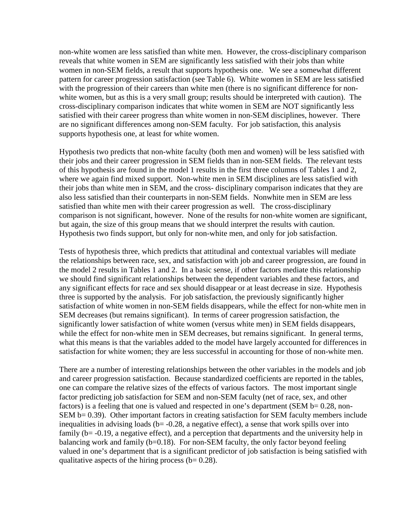non-white women are less satisfied than white men. However, the cross-disciplinary comparison reveals that white women in SEM are significantly less satisfied with their jobs than white women in non-SEM fields, a result that supports hypothesis one. We see a somewhat different pattern for career progression satisfaction (see Table 6). White women in SEM are less satisfied with the progression of their careers than white men (there is no significant difference for nonwhite women, but as this is a very small group; results should be interpreted with caution). The cross-disciplinary comparison indicates that white women in SEM are NOT significantly less satisfied with their career progress than white women in non-SEM disciplines, however. There are no significant differences among non-SEM faculty. For job satisfaction, this analysis supports hypothesis one, at least for white women.

Hypothesis two predicts that non-white faculty (both men and women) will be less satisfied with their jobs and their career progression in SEM fields than in non-SEM fields. The relevant tests of this hypothesis are found in the model 1 results in the first three columns of Tables 1 and 2, where we again find mixed support. Non-white men in SEM disciplines are less satisfied with their jobs than white men in SEM, and the cross- disciplinary comparison indicates that they are also less satisfied than their counterparts in non-SEM fields. Nonwhite men in SEM are less satisfied than white men with their career progression as well. The cross-disciplinary comparison is not significant, however. None of the results for non-white women are significant, but again, the size of this group means that we should interpret the results with caution. Hypothesis two finds support, but only for non-white men, and only for job satisfaction.

Tests of hypothesis three, which predicts that attitudinal and contextual variables will mediate the relationships between race, sex, and satisfaction with job and career progression, are found in the model 2 results in Tables 1 and 2. In a basic sense, if other factors mediate this relationship we should find significant relationships between the dependent variables and these factors, and any significant effects for race and sex should disappear or at least decrease in size. Hypothesis three is supported by the analysis. For job satisfaction, the previously significantly higher satisfaction of white women in non-SEM fields disappears, while the effect for non-white men in SEM decreases (but remains significant). In terms of career progression satisfaction, the significantly lower satisfaction of white women (versus white men) in SEM fields disappears, while the effect for non-white men in SEM decreases, but remains significant. In general terms, what this means is that the variables added to the model have largely accounted for differences in satisfaction for white women; they are less successful in accounting for those of non-white men.

There are a number of interesting relationships between the other variables in the models and job and career progression satisfaction. Because standardized coefficients are reported in the tables, one can compare the relative sizes of the effects of various factors. The most important single factor predicting job satisfaction for SEM and non-SEM faculty (net of race, sex, and other factors) is a feeling that one is valued and respected in one's department (SEM  $b = 0.28$ , non-SEM b= 0.39). Other important factors in creating satisfaction for SEM faculty members include inequalities in advising loads ( $b = -0.28$ , a negative effect), a sense that work spills over into family (b= -0.19, a negative effect), and a perception that departments and the university help in balancing work and family  $(b=0.18)$ . For non-SEM faculty, the only factor beyond feeling valued in one's department that is a significant predictor of job satisfaction is being satisfied with qualitative aspects of the hiring process ( $b= 0.28$ ).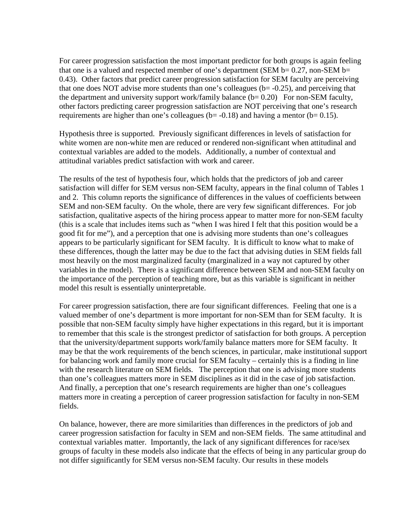For career progression satisfaction the most important predictor for both groups is again feeling that one is a valued and respected member of one's department (SEM  $b=0.27$ , non-SEM  $b=$ 0.43). Other factors that predict career progression satisfaction for SEM faculty are perceiving that one does NOT advise more students than one's colleagues ( $b = -0.25$ ), and perceiving that the department and university support work/family balance  $(b= 0.20)$  For non-SEM faculty, other factors predicting career progression satisfaction are NOT perceiving that one's research requirements are higher than one's colleagues ( $b = -0.18$ ) and having a mentor ( $b = 0.15$ ).

Hypothesis three is supported. Previously significant differences in levels of satisfaction for white women are non-white men are reduced or rendered non-significant when attitudinal and contextual variables are added to the models. Additionally, a number of contextual and attitudinal variables predict satisfaction with work and career.

The results of the test of hypothesis four, which holds that the predictors of job and career satisfaction will differ for SEM versus non-SEM faculty, appears in the final column of Tables 1 and 2. This column reports the significance of differences in the values of coefficients between SEM and non-SEM faculty. On the whole, there are very few significant differences. For job satisfaction, qualitative aspects of the hiring process appear to matter more for non-SEM faculty (this is a scale that includes items such as "when I was hired I felt that this position would be a good fit for me"), and a perception that one is advising more students than one's colleagues appears to be particularly significant for SEM faculty. It is difficult to know what to make of these differences, though the latter may be due to the fact that advising duties in SEM fields fall most heavily on the most marginalized faculty (marginalized in a way not captured by other variables in the model). There is a significant difference between SEM and non-SEM faculty on the importance of the perception of teaching more, but as this variable is significant in neither model this result is essentially uninterpretable.

For career progression satisfaction, there are four significant differences. Feeling that one is a valued member of one's department is more important for non-SEM than for SEM faculty. It is possible that non-SEM faculty simply have higher expectations in this regard, but it is important to remember that this scale is the strongest predictor of satisfaction for both groups. A perception that the university/department supports work/family balance matters more for SEM faculty. It may be that the work requirements of the bench sciences, in particular, make institutional support for balancing work and family more crucial for SEM faculty – certainly this is a finding in line with the research literature on SEM fields. The perception that one is advising more students than one's colleagues matters more in SEM disciplines as it did in the case of job satisfaction. And finally, a perception that one's research requirements are higher than one's colleagues matters more in creating a perception of career progression satisfaction for faculty in non-SEM fields.

On balance, however, there are more similarities than differences in the predictors of job and career progression satisfaction for faculty in SEM and non-SEM fields. The same attitudinal and contextual variables matter. Importantly, the lack of any significant differences for race/sex groups of faculty in these models also indicate that the effects of being in any particular group do not differ significantly for SEM versus non-SEM faculty. Our results in these models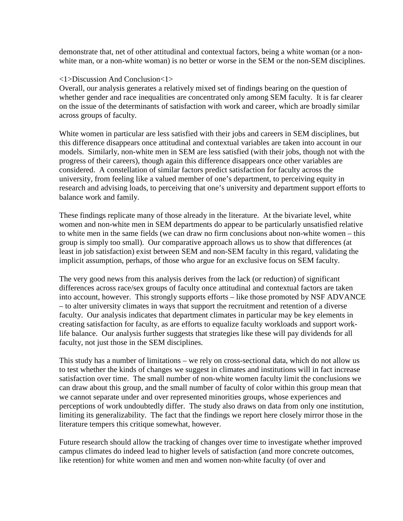demonstrate that, net of other attitudinal and contextual factors, being a white woman (or a nonwhite man, or a non-white woman) is no better or worse in the SEM or the non-SEM disciplines.

## <1>Discussion And Conclusion<1>

Overall, our analysis generates a relatively mixed set of findings bearing on the question of whether gender and race inequalities are concentrated only among SEM faculty. It is far clearer on the issue of the determinants of satisfaction with work and career, which are broadly similar across groups of faculty.

White women in particular are less satisfied with their jobs and careers in SEM disciplines, but this difference disappears once attitudinal and contextual variables are taken into account in our models. Similarly, non-white men in SEM are less satisfied (with their jobs, though not with the progress of their careers), though again this difference disappears once other variables are considered. A constellation of similar factors predict satisfaction for faculty across the university, from feeling like a valued member of one's department, to perceiving equity in research and advising loads, to perceiving that one's university and department support efforts to balance work and family.

These findings replicate many of those already in the literature. At the bivariate level, white women and non-white men in SEM departments do appear to be particularly unsatisfied relative to white men in the same fields (we can draw no firm conclusions about non-white women – this group is simply too small). Our comparative approach allows us to show that differences (at least in job satisfaction) exist between SEM and non-SEM faculty in this regard, validating the implicit assumption, perhaps, of those who argue for an exclusive focus on SEM faculty.

The very good news from this analysis derives from the lack (or reduction) of significant differences across race/sex groups of faculty once attitudinal and contextual factors are taken into account, however. This strongly supports efforts – like those promoted by NSF ADVANCE – to alter university climates in ways that support the recruitment and retention of a diverse faculty. Our analysis indicates that department climates in particular may be key elements in creating satisfaction for faculty, as are efforts to equalize faculty workloads and support worklife balance. Our analysis further suggests that strategies like these will pay dividends for all faculty, not just those in the SEM disciplines.

This study has a number of limitations – we rely on cross-sectional data, which do not allow us to test whether the kinds of changes we suggest in climates and institutions will in fact increase satisfaction over time. The small number of non-white women faculty limit the conclusions we can draw about this group, and the small number of faculty of color within this group mean that we cannot separate under and over represented minorities groups, whose experiences and perceptions of work undoubtedly differ. The study also draws on data from only one institution, limiting its generalizability. The fact that the findings we report here closely mirror those in the literature tempers this critique somewhat, however.

Future research should allow the tracking of changes over time to investigate whether improved campus climates do indeed lead to higher levels of satisfaction (and more concrete outcomes, like retention) for white women and men and women non-white faculty (of over and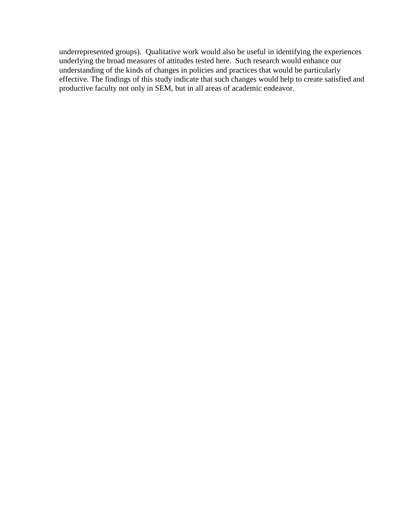underrepresented groups). Qualitative work would also be useful in identifying the experiences underlying the broad measures of attitudes tested here. Such research would enhance our understanding of the kinds of changes in policies and practices that would be particularly effective. The findings of this study indicate that such changes would help to create satisfied and productive faculty not only in SEM, but in all areas of academic endeavor.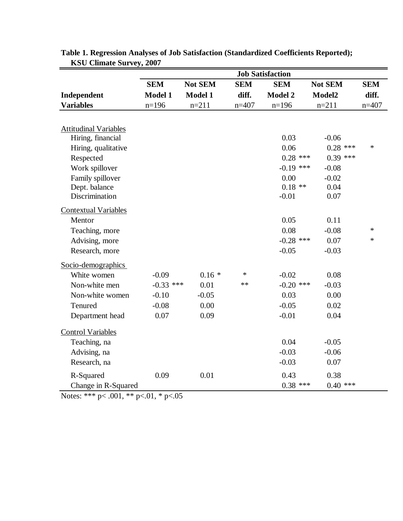|                              | <b>Job Satisfaction</b> |                |            |                |                |            |  |
|------------------------------|-------------------------|----------------|------------|----------------|----------------|------------|--|
|                              | <b>SEM</b>              | <b>Not SEM</b> | <b>SEM</b> | <b>SEM</b>     | <b>Not SEM</b> | <b>SEM</b> |  |
| Independent                  | <b>Model 1</b>          | <b>Model 1</b> | diff.      | <b>Model 2</b> | Model2         | diff.      |  |
| <b>Variables</b>             | $n=196$                 | $n=211$        | $n=407$    | $n=196$        | $n=211$        | $n=407$    |  |
|                              |                         |                |            |                |                |            |  |
| <b>Attitudinal Variables</b> |                         |                |            |                |                |            |  |
| Hiring, financial            |                         |                |            | 0.03           | $-0.06$        |            |  |
| Hiring, qualitative          |                         |                |            | 0.06           | $0.28$ ***     | $\ast$     |  |
| Respected                    |                         |                |            | $0.28$ ***     | $0.39$ ***     |            |  |
| Work spillover               |                         |                |            | $-0.19$ ***    | $-0.08$        |            |  |
| Family spillover             |                         |                |            | 0.00           | $-0.02$        |            |  |
| Dept. balance                |                         |                |            | $0.18**$       | 0.04           |            |  |
| Discrimination               |                         |                |            | $-0.01$        | 0.07           |            |  |
| <b>Contextual Variables</b>  |                         |                |            |                |                |            |  |
| Mentor                       |                         |                |            | 0.05           | 0.11           |            |  |
| Teaching, more               |                         |                |            | 0.08           | $-0.08$        | $\ast$     |  |
| Advising, more               |                         |                |            | $-0.28$ ***    | 0.07           | $\ast$     |  |
| Research, more               |                         |                |            | $-0.05$        | $-0.03$        |            |  |
| Socio-demographics           |                         |                |            |                |                |            |  |
| White women                  | $-0.09$                 | $0.16*$        | *          | $-0.02$        | 0.08           |            |  |
| Non-white men                | $-0.33$ ***             | 0.01           | $\ast\ast$ | $-0.20$ ***    | $-0.03$        |            |  |
| Non-white women              | $-0.10$                 | $-0.05$        |            | 0.03           | 0.00           |            |  |
| Tenured                      | $-0.08$                 | 0.00           |            | $-0.05$        | 0.02           |            |  |
| Department head              | 0.07                    | 0.09           |            | $-0.01$        | 0.04           |            |  |
| <b>Control Variables</b>     |                         |                |            |                |                |            |  |
| Teaching, na                 |                         |                |            | 0.04           | $-0.05$        |            |  |
| Advising, na                 |                         |                |            | $-0.03$        | $-0.06$        |            |  |
| Research, na                 |                         |                |            | $-0.03$        | 0.07           |            |  |
| R-Squared                    | 0.09                    | 0.01           |            | 0.43           | 0.38           |            |  |
| Change in R-Squared          |                         |                |            | $0.38$ ***     | $0.40$ ***     |            |  |

| Table 1. Regression Analyses of Job Satisfaction (Standardized Coefficients Reported); |  |
|----------------------------------------------------------------------------------------|--|
| <b>KSU Climate Survey, 2007</b>                                                        |  |

Notes: \*\*\* p< .001, \*\* p<.01, \* p<.05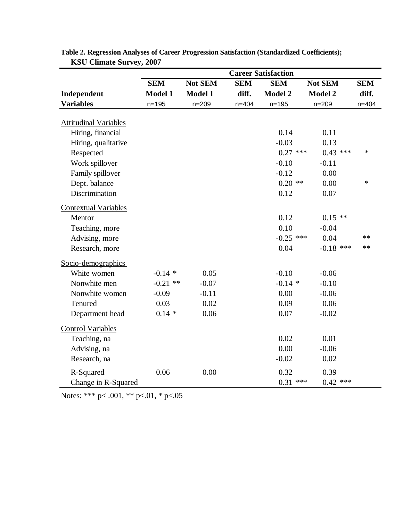|                              | <b>Career Satisfaction</b> |                |            |                |                |            |  |
|------------------------------|----------------------------|----------------|------------|----------------|----------------|------------|--|
|                              | <b>SEM</b>                 | <b>Not SEM</b> | <b>SEM</b> | <b>SEM</b>     | <b>Not SEM</b> | <b>SEM</b> |  |
| Independent                  | <b>Model 1</b>             | <b>Model 1</b> | diff.      | <b>Model 2</b> | <b>Model 2</b> | diff.      |  |
| <b>Variables</b>             | $n = 195$                  | $n = 209$      | $n = 404$  | $n = 195$      | $n = 209$      | $n = 404$  |  |
| <b>Attitudinal Variables</b> |                            |                |            |                |                |            |  |
| Hiring, financial            |                            |                |            | 0.14           | 0.11           |            |  |
| Hiring, qualitative          |                            |                |            | $-0.03$        | 0.13           |            |  |
| Respected                    |                            |                |            | $0.27$ ***     | $0.43$ ***     | $\ast$     |  |
| Work spillover               |                            |                |            | $-0.10$        | $-0.11$        |            |  |
| Family spillover             |                            |                |            | $-0.12$        | 0.00           |            |  |
| Dept. balance                |                            |                |            | $0.20$ **      | 0.00           | *          |  |
| Discrimination               |                            |                |            | 0.12           | 0.07           |            |  |
| <b>Contextual Variables</b>  |                            |                |            |                |                |            |  |
| Mentor                       |                            |                |            | 0.12           | $0.15**$       |            |  |
| Teaching, more               |                            |                |            | 0.10           | $-0.04$        |            |  |
| Advising, more               |                            |                |            | $-0.25$ ***    | 0.04           | **         |  |
| Research, more               |                            |                |            | 0.04           | $-0.18$ ***    | $**$       |  |
| Socio-demographics           |                            |                |            |                |                |            |  |
| White women                  | $-0.14$ *                  | 0.05           |            | $-0.10$        | $-0.06$        |            |  |
| Nonwhite men                 | $-0.21$ **                 | $-0.07$        |            | $-0.14$ *      | $-0.10$        |            |  |
| Nonwhite women               | $-0.09$                    | $-0.11$        |            | 0.00           | $-0.06$        |            |  |
| Tenured                      | 0.03                       | 0.02           |            | 0.09           | 0.06           |            |  |
| Department head              | $0.14 *$                   | 0.06           |            | 0.07           | $-0.02$        |            |  |
| <b>Control Variables</b>     |                            |                |            |                |                |            |  |
| Teaching, na                 |                            |                |            | 0.02           | 0.01           |            |  |
| Advising, na                 |                            |                |            | 0.00           | $-0.06$        |            |  |
| Research, na                 |                            |                |            | $-0.02$        | 0.02           |            |  |
| R-Squared                    | 0.06                       | 0.00           |            | 0.32           | 0.39           |            |  |
| Change in R-Squared          |                            |                |            | $0.31$ ***     | $0.42$ ***     |            |  |

| Table 2. Regression Analyses of Career Progression Satisfaction (Standardized Coefficients); |  |
|----------------------------------------------------------------------------------------------|--|
| <b>KSU Climate Survey, 2007</b>                                                              |  |

Notes: \*\*\* p<.001, \*\* p<.01, \* p<.05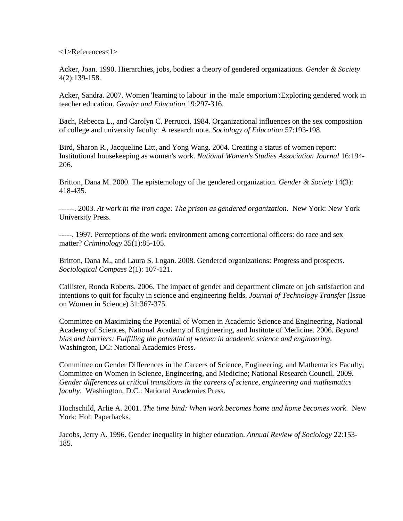<1>References<1>

Acker, Joan. 1990. Hierarchies, jobs, bodies: a theory of gendered organizations. *Gender & Society* 4(2):139-158.

Acker, Sandra. 2007. Women 'learning to labour' in the 'male emporium':Exploring gendered work in teacher education. *Gender and Education* 19:297-316.

Bach, Rebecca L., and Carolyn C. Perrucci. 1984. Organizational influences on the sex composition of college and university faculty: A research note. *Sociology of Education* 57:193-198.

Bird, Sharon R., Jacqueline Litt, and Yong Wang. 2004. Creating a status of women report: Institutional housekeeping as women's work. *National Women's Studies Association Journal* 16:194- 206.

Britton, Dana M. 2000. The epistemology of the gendered organization. *Gender & Society* 14(3): 418-435.

------. 2003. *At work in the iron cage: The prison as gendered organization*. New York: New York University Press.

-----. 1997. Perceptions of the work environment among correctional officers: do race and sex matter? *Criminology* 35(1):85-105.

Britton, Dana M., and Laura S. Logan. 2008. Gendered organizations: Progress and prospects. *Sociological Compass* 2(1): 107-121.

Callister, Ronda Roberts. 2006. The impact of gender and department climate on job satisfaction and intentions to quit for faculty in science and engineering fields. *Journal of Technology Transfer* (Issue on Women in Science) 31:367-375.

Committee on Maximizing the Potential of Women in Academic Science and Engineering, National Academy of Sciences, National Academy of Engineering, and Institute of Medicine. 2006*. Beyond bias and barriers: Fulfilling the potential of women in academic science and engineering*. Washington, DC: National Academies Press.

Committee on Gender Differences in the Careers of Science, Engineering, and Mathematics Faculty; Committee on Women in Science, Engineering, and Medicine; National Research Council. 2009. *Gender differences at critical transitions in the careers of science, engineering and mathematics faculty*. Washington, D.C.: National Academies Press.

Hochschild, Arlie A. 2001. *The time bind: When work becomes home and home becomes work*. New York: Holt Paperbacks.

Jacobs, Jerry A. 1996. Gender inequality in higher education. *Annual Review of Sociology* 22:153- 185.